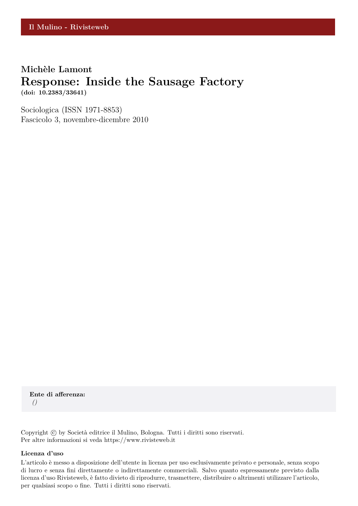## **Michèle Lamont Response: Inside the Sausage Factory (doi: 10.2383/33641)**

Sociologica (ISSN 1971-8853) Fascicolo 3, novembre-dicembre 2010

**Ente di afferenza:** *()*

Copyright © by Società editrice il Mulino, Bologna. Tutti i diritti sono riservati. Per altre informazioni si veda https://www.rivisteweb.it

#### **Licenza d'uso**

L'articolo è messo a disposizione dell'utente in licenza per uso esclusivamente privato e personale, senza scopo di lucro e senza fini direttamente o indirettamente commerciali. Salvo quanto espressamente previsto dalla licenza d'uso Rivisteweb, è fatto divieto di riprodurre, trasmettere, distribuire o altrimenti utilizzare l'articolo, per qualsiasi scopo o fine. Tutti i diritti sono riservati.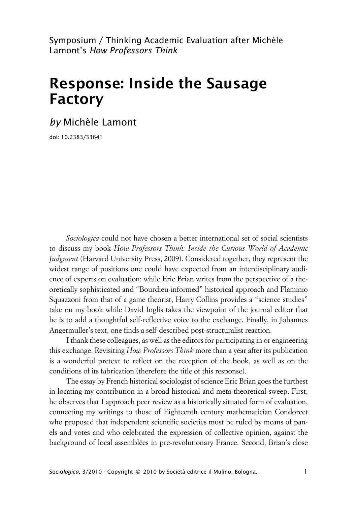Symposium / Thinking Academic Evaluation after Michèle Lamont's *How Professors Think*

# **Response: Inside the Sausage Factory**

*by* Michèle Lamont

doi: 10.2383/33641

*Sociologica* could not have chosen a better international set of social scientists to discuss my book *How Professors Think: Inside the Curious World of Academic Judgment* (Harvard University Press, 2009). Considered together, they represent the widest range of positions one could have expected from an interdisciplinary audience of experts on evaluation: while Eric Brian writes from the perspective of a theoretically sophisticated and "Bourdieu-informed" historical approach and Flaminio Squazzoni from that of a game theorist, Harry Collins provides a "science studies" take on my book while David Inglis takes the viewpoint of the journal editor that he is to add a thoughtful self-reflective voice to the exchange. Finally, in Johannes Angermuller's text, one finds a self-described post-structuralist reaction.

I thank these colleagues, as well as the editors for participating in or engineering this exchange. Revisiting *How Professors Think* more than a year after its publication is a wonderful pretext to reflect on the reception of the book, as well as on the conditions of its fabrication (therefore the title of this response).

The essay by French historical sociologist of science Eric Brian goes the furthest in locating my contribution in a broad historical and meta-theoretical sweep. First, he observes that I approach peer review as a historically situated form of evaluation, connecting my writings to those of Eighteenth century mathematician Condorcet who proposed that independent scientific societies must be ruled by means of panels and votes and who celebrated the expression of collective opinion, against the background of local assemblées in pre-revolutionary France. Second, Brian's close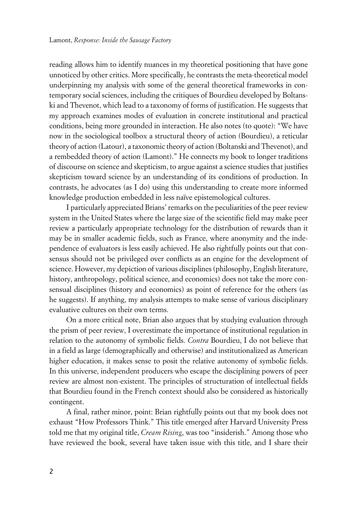reading allows him to identify nuances in my theoretical positioning that have gone unnoticed by other critics. More specifically, he contrasts the meta-theoretical model underpinning my analysis with some of the general theoretical frameworks in contemporary social sciences, including the critiques of Bourdieu developed by Boltanski and Thevenot, which lead to a taxonomy of forms of justification. He suggests that my approach examines modes of evaluation in concrete institutional and practical conditions, being more grounded in interaction. He also notes (to quote): "We have now in the sociological toolbox a structural theory of action (Bourdieu), a reticular theory of action (Latour), a taxonomic theory of action (Boltanski and Thevenot), and a rembedded theory of action (Lamont)." He connects my book to longer traditions of discourse on science and skepticism, to argue against a science studies that justifies skepticism toward science by an understanding of its conditions of production. In contrasts, he advocates (as I do) using this understanding to create more informed knowledge production embedded in less naïve epistemological cultures.

I particularly appreciated Brians' remarks on the peculiarities of the peer review system in the United States where the large size of the scientific field may make peer review a particularly appropriate technology for the distribution of rewards than it may be in smaller academic fields, such as France, where anonymity and the independence of evaluators is less easily achieved. He also rightfully points out that consensus should not be privileged over conflicts as an engine for the development of science. However, my depiction of various disciplines (philosophy, English literature, history, anthropology, political science, and economics) does not take the more consensual disciplines (history and economics) as point of reference for the others (as he suggests). If anything, my analysis attempts to make sense of various disciplinary evaluative cultures on their own terms.

On a more critical note, Brian also argues that by studying evaluation through the prism of peer review, I overestimate the importance of institutional regulation in relation to the autonomy of symbolic fields. *Contra* Bourdieu, I do not believe that in a field as large (demographically and otherwise) and institutionalized as American higher education, it makes sense to posit the relative autonomy of symbolic fields. In this universe, independent producers who escape the disciplining powers of peer review are almost non-existent. The principles of structuration of intellectual fields that Bourdieu found in the French context should also be considered as historically contingent.

A final, rather minor, point: Brian rightfully points out that my book does not exhaust "How Professors Think." This title emerged after Harvard University Press told me that my original title, *Cream Rising*, was too "insiderish." Among those who have reviewed the book, several have taken issue with this title, and I share their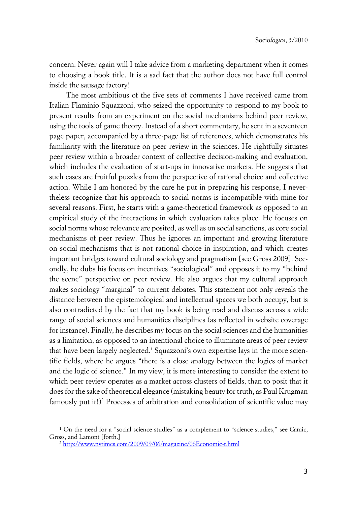concern. Never again will I take advice from a marketing department when it comes to choosing a book title. It is a sad fact that the author does not have full control inside the sausage factory!

The most ambitious of the five sets of comments I have received came from Italian Flaminio Squazzoni, who seized the opportunity to respond to my book to present results from an experiment on the social mechanisms behind peer review, using the tools of game theory. Instead of a short commentary, he sent in a seventeen page paper, accompanied by a three-page list of references, which demonstrates his familiarity with the literature on peer review in the sciences. He rightfully situates peer review within a broader context of collective decision-making and evaluation, which includes the evaluation of start-ups in innovative markets. He suggests that such cases are fruitful puzzles from the perspective of rational choice and collective action. While I am honored by the care he put in preparing his response, I nevertheless recognize that his approach to social norms is incompatible with mine for several reasons. First, he starts with a game-theoretical framework as opposed to an empirical study of the interactions in which evaluation takes place. He focuses on social norms whose relevance are posited, as well as on social sanctions, as core social mechanisms of peer review. Thus he ignores an important and growing literature on social mechanisms that is not rational choice in inspiration, and which creates important bridges toward cultural sociology and pragmatism [see Gross 2009]. Secondly, he dubs his focus on incentives "sociological" and opposes it to my "behind the scene" perspective on peer review. He also argues that my cultural approach makes sociology "marginal" to current debates. This statement not only reveals the distance between the epistemological and intellectual spaces we both occupy, but is also contradicted by the fact that my book is being read and discuss across a wide range of social sciences and humanities disciplines (as reflected in website coverage for instance). Finally, he describes my focus on the social sciences and the humanities as a limitation, as opposed to an intentional choice to illuminate areas of peer review that have been largely neglected.<sup>1</sup> Squazzoni's own expertise lays in the more scientific fields, where he argues "there is a close analogy between the logics of market and the logic of science." In my view, it is more interesting to consider the extent to which peer review operates as a market across clusters of fields, than to posit that it does for the sake of theoretical elegance (mistaking beauty for truth, as Paul Krugman famously put it!)<sup>2</sup> Processes of arbitration and consolidation of scientific value may

<sup>1</sup> On the need for a "social science studies" as a complement to "science studies," see Camic, Gross, and Lamont [forth.]

<sup>2</sup> <http://www.nytimes.com/2009/09/06/magazine/06Economic-t.html>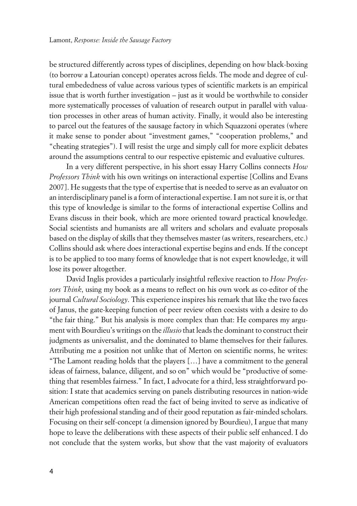be structured differently across types of disciplines, depending on how black-boxing (to borrow a Latourian concept) operates across fields. The mode and degree of cultural embededness of value across various types of scientific markets is an empirical issue that is worth further investigation – just as it would be worthwhile to consider more systematically processes of valuation of research output in parallel with valuation processes in other areas of human activity. Finally, it would also be interesting to parcel out the features of the sausage factory in which Squazzoni operates (where it make sense to ponder about "investment games," "cooperation problems," and "cheating strategies"). I will resist the urge and simply call for more explicit debates around the assumptions central to our respective epistemic and evaluative cultures.

In a very different perspective, in his short essay Harry Collins connects *How Professors Think* with his own writings on interactional expertise [Collins and Evans 2007]. He suggests that the type of expertise that is needed to serve as an evaluator on an interdisciplinary panel is a form of interactional expertise. I am not sure it is, or that this type of knowledge is similar to the forms of interactional expertise Collins and Evans discuss in their book, which are more oriented toward practical knowledge. Social scientists and humanists are all writers and scholars and evaluate proposals based on the display of skills that they themselves master (as writers, researchers, etc.) Collins should ask where does interactional expertise begins and ends. If the concept is to be applied to too many forms of knowledge that is not expert knowledge, it will lose its power altogether.

David Inglis provides a particularly insightful reflexive reaction to *How Professors Think*, using my book as a means to reflect on his own work as co-editor of the journal *Cultural Sociology*. This experience inspires his remark that like the two faces of Janus, the gate-keeping function of peer review often coexists with a desire to do "the fair thing." But his analysis is more complex than that: He compares my argument with Bourdieu's writings on the *illusio* that leads the dominant to construct their judgments as universalist, and the dominated to blame themselves for their failures. Attributing me a position not unlike that of Merton on scientific norms, he writes: "The Lamont reading holds that the players […] have a commitment to the general ideas of fairness, balance, diligent, and so on" which would be "productive of something that resembles fairness." In fact, I advocate for a third, less straightforward position: I state that academics serving on panels distributing resources in nation-wide American competitions often read the fact of being invited to serve as indicative of their high professional standing and of their good reputation as fair-minded scholars. Focusing on their self-concept (a dimension ignored by Bourdieu), I argue that many hope to leave the deliberations with these aspects of their public self enhanced. I do not conclude that the system works, but show that the vast majority of evaluators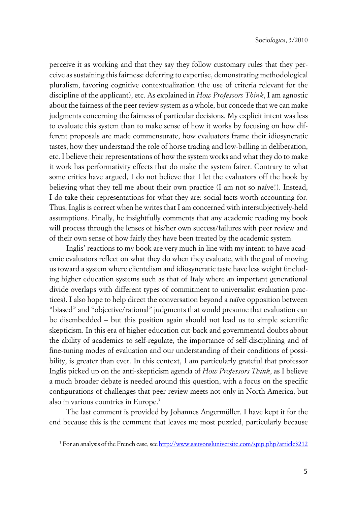perceive it as working and that they say they follow customary rules that they perceive as sustaining this fairness: deferring to expertise, demonstrating methodological pluralism, favoring cognitive contextualization (the use of criteria relevant for the discipline of the applicant), etc. As explained in *How Professors Think*, I am agnostic about the fairness of the peer review system as a whole, but concede that we can make judgments concerning the fairness of particular decisions. My explicit intent was less to evaluate this system than to make sense of how it works by focusing on how different proposals are made commensurate, how evaluators frame their idiosyncratic tastes, how they understand the role of horse trading and low-balling in deliberation, etc. I believe their representations of how the system works and what they do to make it work has performativity effects that do make the system fairer. Contrary to what some critics have argued, I do not believe that I let the evaluators off the hook by believing what they tell me about their own practice (I am not so naïve!). Instead, I do take their representations for what they are: social facts worth accounting for. Thus, Inglis is correct when he writes that I am concerned with intersubjectively-held assumptions. Finally, he insightfully comments that any academic reading my book will process through the lenses of his/her own success/failures with peer review and of their own sense of how fairly they have been treated by the academic system.

Inglis' reactions to my book are very much in line with my intent: to have academic evaluators reflect on what they do when they evaluate, with the goal of moving us toward a system where clientelism and idiosyncratic taste have less weight (including higher education systems such as that of Italy where an important generational divide overlaps with different types of commitment to universalist evaluation practices). I also hope to help direct the conversation beyond a naïve opposition between "biased" and "objective/rational" judgments that would presume that evaluation can be disembedded – but this position again should not lead us to simple scientific skepticism. In this era of higher education cut-back and governmental doubts about the ability of academics to self-regulate, the importance of self-disciplining and of fine-tuning modes of evaluation and our understanding of their conditions of possibility, is greater than ever. In this context, I am particularly grateful that professor Inglis picked up on the anti-skepticism agenda of *How Professors Think*, as I believe a much broader debate is needed around this question, with a focus on the specific configurations of challenges that peer review meets not only in North America, but also in various countries in Europe.<sup>3</sup>

The last comment is provided by Johannes Angermüller. I have kept it for the end because this is the comment that leaves me most puzzled, particularly because

<sup>3</sup> For an analysis of the French case, see<http://www.sauvonsluniversite.com/spip.php?article3212>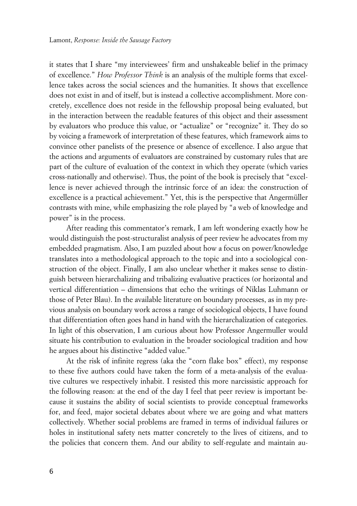it states that I share "my interviewees' firm and unshakeable belief in the primacy of excellence." *How Professor Think* is an analysis of the multiple forms that excellence takes across the social sciences and the humanities. It shows that excellence does not exist in and of itself, but is instead a collective accomplishment. More concretely, excellence does not reside in the fellowship proposal being evaluated, but in the interaction between the readable features of this object and their assessment by evaluators who produce this value, or "actualize" or "recognize" it. They do so by voicing a framework of interpretation of these features, which framework aims to convince other panelists of the presence or absence of excellence. I also argue that the actions and arguments of evaluators are constrained by customary rules that are part of the culture of evaluation of the context in which they operate (which varies cross-nationally and otherwise). Thus, the point of the book is precisely that "excellence is never achieved through the intrinsic force of an idea: the construction of excellence is a practical achievement." Yet, this is the perspective that Angermüller contrasts with mine, while emphasizing the role played by "a web of knowledge and power" is in the process.

After reading this commentator's remark, I am left wondering exactly how he would distinguish the post-structuralist analysis of peer review he advocates from my embedded pragmatism. Also, I am puzzled about how a focus on power/knowledge translates into a methodological approach to the topic and into a sociological construction of the object. Finally, I am also unclear whether it makes sense to distinguish between hierarchalizing and tribalizing evaluative practices (or horizontal and vertical differentiation – dimensions that echo the writings of Niklas Luhmann or those of Peter Blau). In the available literature on boundary processes, as in my previous analysis on boundary work across a range of sociological objects, I have found that differentiation often goes hand in hand with the hierarchalization of categories. In light of this observation, I am curious about how Professor Angermuller would situate his contribution to evaluation in the broader sociological tradition and how he argues about his distinctive "added value."

At the risk of infinite regress (aka the "corn flake box" effect), my response to these five authors could have taken the form of a meta-analysis of the evaluative cultures we respectively inhabit. I resisted this more narcissistic approach for the following reason: at the end of the day I feel that peer review is important because it sustains the ability of social scientists to provide conceptual frameworks for, and feed, major societal debates about where we are going and what matters collectively. Whether social problems are framed in terms of individual failures or holes in institutional safety nets matter concretely to the lives of citizens, and to the policies that concern them. And our ability to self-regulate and maintain au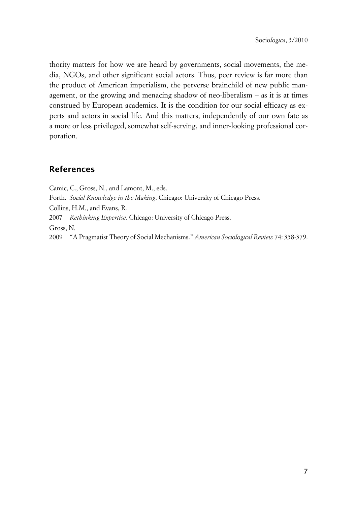thority matters for how we are heard by governments, social movements, the media, NGOs, and other significant social actors. Thus, peer review is far more than the product of American imperialism, the perverse brainchild of new public management, or the growing and menacing shadow of neo-liberalism – as it is at times construed by European academics. It is the condition for our social efficacy as experts and actors in social life. And this matters, independently of our own fate as a more or less privileged, somewhat self-serving, and inner-looking professional corporation.

## **References**

Camic, C., Gross, N., and Lamont, M., eds. Forth. *Social Knowledge in the Making*. Chicago: University of Chicago Press. Collins, H.M., and Evans, R. 2007 *Rethinking Expertise*. Chicago: University of Chicago Press. Gross, N. 2009 "A Pragmatist Theory of Social Mechanisms." *American Sociological Review* 74: 358-379.